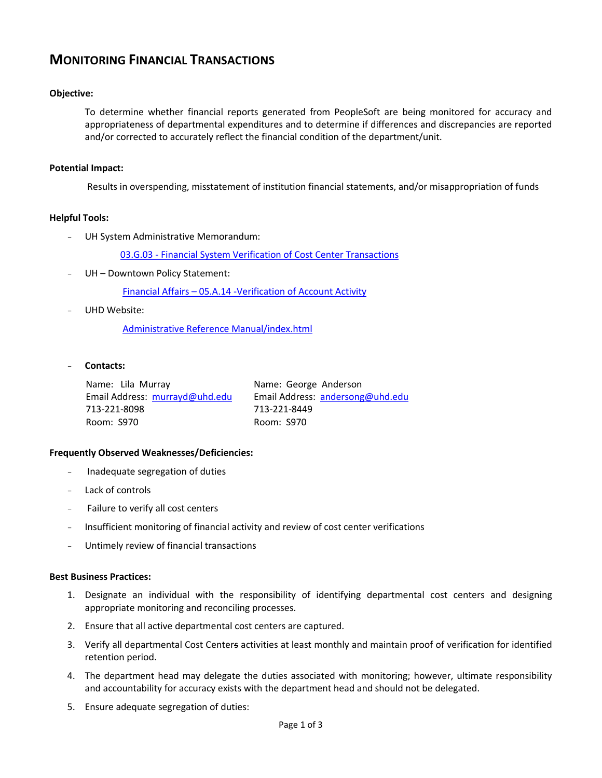# **MONITORING FINANCIAL TRANSACTIONS**

# **Objective:**

To determine whether financial reports generated from PeopleSoft are being monitored for accuracy and appropriateness of departmental expenditures and to determine if differences and discrepancies are reported and/or corrected to accurately reflect the financial condition of the department/unit.

#### **Potential Impact:**

Results in overspending, misstatement of institution financial statements, and/or misappropriation of funds

### **Helpful Tools:**

UH System Administrative Memorandum:

03.G.03 - [Financial System Verification of Cost Center Transactions](http://www.uhsa.uh.edu/sam/3FicsalAffairs/3G3.pdf)

UH - Downtown Policy Statement:

Financial Affairs – [05.A.14 -Verification of Account Activity](http://www.uhd.edu/about/hr/PS05A14.pdf)

UHD Website:

Administrative Reference [Manual/index.html](http://www.uhd.edu/facultyandstaff/administrativereferencemanual/index.html)

- **Contacts:** 

Name: Lila Murray Email Address: [murrayd@uhd.edu](mailto:murrayd@uhd.edu) 713-221-8098 Room: S970

Name: George Anderson Email Address: [andersong@uhd.edu](mailto:andersong@uhd.edu) 713-221-8449 Room: S970

# **Frequently Observed Weaknesses/Deficiencies:**

- Inadequate segregation of duties
- Lack of controls
- Failure to verify all cost centers
- Insufficient monitoring of financial activity and review of cost center verifications
- Untimely review of financial transactions

#### **Best Business Practices:**

- 1. Designate an individual with the responsibility of identifying departmental cost centers and designing appropriate monitoring and reconciling processes.
- 2. Ensure that all active departmental cost centers are captured.
- 3. Verify all departmental Cost Centers activities at least monthly and maintain proof of verification for identified retention period.
- 4. The department head may delegate the duties associated with monitoring; however, ultimate responsibility and accountability for accuracy exists with the department head and should not be delegated.
- 5. Ensure adequate segregation of duties: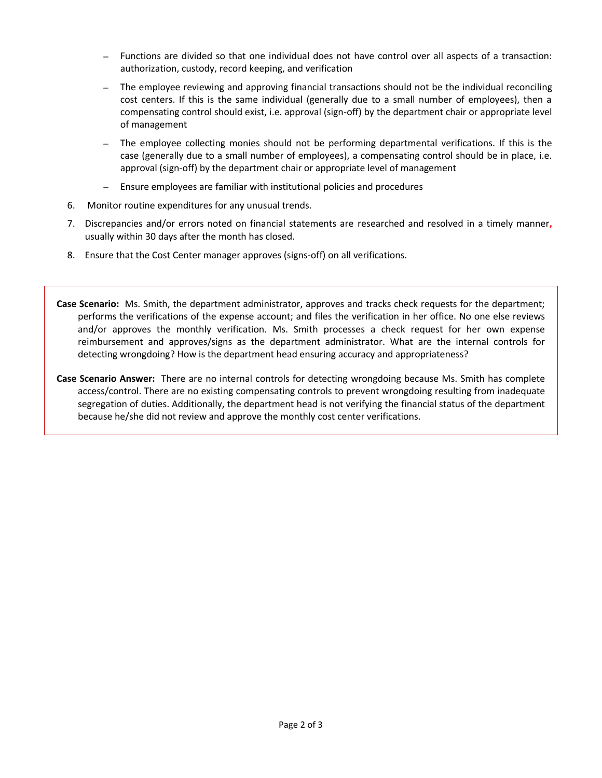- *–* Functions are divided so that one individual does not have control over all aspects of a transaction: authorization, custody, record keeping, and verification
- *–* The employee reviewing and approving financial transactions should not be the individual reconciling cost centers. If this is the same individual (generally due to a small number of employees), then a compensating control should exist, i.e. approval (sign-off) by the department chair or appropriate level of management
- *–* The employee collecting monies should not be performing departmental verifications. If this is the case (generally due to a small number of employees), a compensating control should be in place, i.e. approval (sign-off) by the department chair or appropriate level of management
- *–* Ensure employees are familiar with institutional policies and procedures
- 6. Monitor routine expenditures for any unusual trends.
- 7. Discrepancies and/or errors noted on financial statements are researched and resolved in a timely manner**,**  usually within 30 days after the month has closed.
- 8. Ensure that the Cost Center manager approves (signs-off) on all verifications.
- **Case Scenario:** Ms. Smith, the department administrator, approves and tracks check requests for the department; performs the verifications of the expense account; and files the verification in her office. No one else reviews and/or approves the monthly verification. Ms. Smith processes a check request for her own expense reimbursement and approves/signs as the department administrator. What are the internal controls for detecting wrongdoing? How is the department head ensuring accuracy and appropriateness?
- **Case Scenario Answer:** There are no internal controls for detecting wrongdoing because Ms. Smith has complete access/control. There are no existing compensating controls to prevent wrongdoing resulting from inadequate segregation of duties. Additionally, the department head is not verifying the financial status of the department because he/she did not review and approve the monthly cost center verifications.